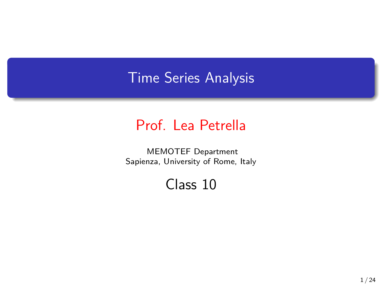## Time Series Analysis

## Prof. Lea Petrella

MEMOTEF Department Sapienza, University of Rome, Italy

## Class 10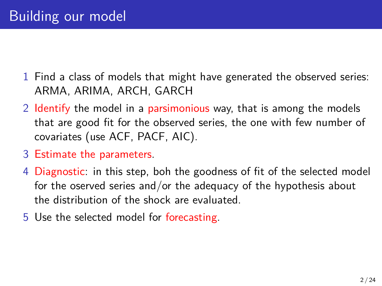- 1 Find a class of models that might have generated the observed series: ARMA, ARIMA, ARCH, GARCH
- 2 Identify the model in a parsimonious way, that is among the models that are good fit for the observed series, the one with few number of covariates (use ACF, PACF, AIC).
- 3 Estimate the parameters.
- 4 Diagnostic: in this step, boh the goodness of fit of the selected model for the oserved series and/or the adequacy of the hypothesis about the distribution of the shock are evaluated.
- 5 Use the selected model for forecasting.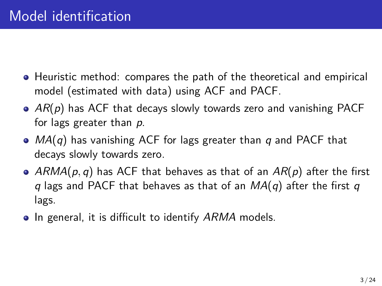- Heuristic method: compares the path of the theoretical and empirical model (estimated with data) using ACF and PACF.
- *AR*(*p*) has ACF that decays slowly towards zero and vanishing PACF for lags greater than *p*.
- *MA*(*q*) has vanishing ACF for lags greater than *q* and PACF that decays slowly towards zero.
- *ARMA*(*p, q*) has ACF that behaves as that of an *AR*(*p*) after the first *q* lags and PACF that behaves as that of an *MA*(*q*) after the first *q* lags.
- In general, it is difficult to identify *ARMA* models.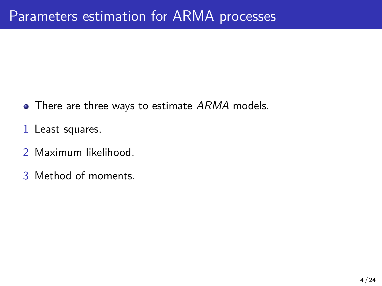- There are three ways to estimate *ARMA* models.
- 1 Least squares.
- 2 Maximum likelihood.
- 3 Method of moments.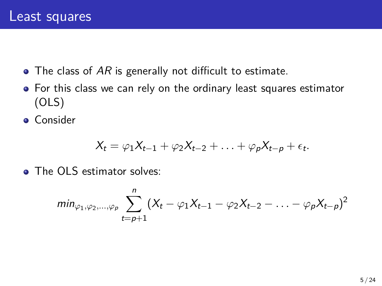- The class of AR is generally not difficult to estimate.
- For this class we can rely on the ordinary least squares estimator (OLS)
- **Consider**

$$
X_t = \varphi_1 X_{t-1} + \varphi_2 X_{t-2} + \ldots + \varphi_p X_{t-p} + \epsilon_t.
$$

**O** The OLS estimator solves:

$$
min_{\varphi_1,\varphi_2,...,\varphi_p}\sum_{t=p+1}^n (X_t - \varphi_1 X_{t-1} - \varphi_2 X_{t-2} - ... - \varphi_p X_{t-p})^2
$$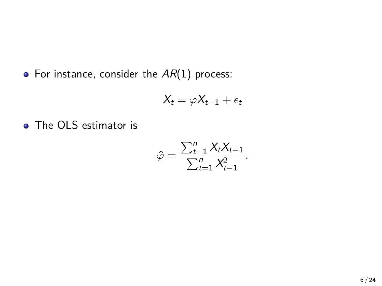• For instance, consider the  $AR(1)$  process:

$$
X_t = \varphi X_{t-1} + \epsilon_t
$$

• The OLS estimator is

$$
\hat{\varphi} = \frac{\sum_{t=1}^{n} X_t X_{t-1}}{\sum_{t=1}^{n} X_{t-1}^2}.
$$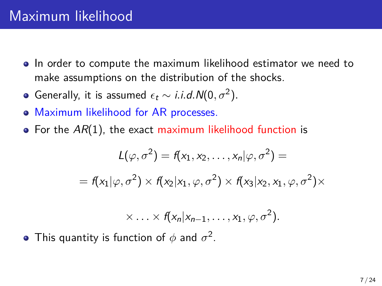- In order to compute the maximum likelihood estimator we need to make assumptions on the distribution of the shocks.
- Generally, it is assumed  $\epsilon_t \sim i.i.d. N(0, \sigma^2)$ .
- Maximum likelihood for AR processes.
- **•** For the AR(1), the exact maximum likelihood function is

$$
L(\varphi, \sigma^2) = f(x_1, x_2, \dots, x_n | \varphi, \sigma^2) =
$$
  
=  $f(x_1 | \varphi, \sigma^2) \times f(x_2 | x_1, \varphi, \sigma^2) \times f(x_3 | x_2, x_1, \varphi, \sigma^2) \times$ 

$$
\times \ldots \times f(x_n | x_{n-1}, \ldots, x_1, \varphi, \sigma^2).
$$

This quantity is function of  $\phi$  and  $\sigma^2.$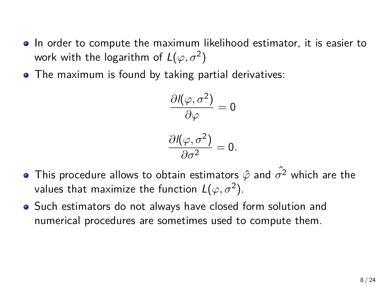- In order to compute the maximum likelihood estimator, it is easier to work with the logarithm of  $L(\varphi,\sigma^{2})$
- The maximum is found by taking partial derivatives:

$$
\frac{\partial {\mathit{I}}(\varphi,\sigma^2)}{\partial \varphi}=0
$$

$$
\frac{\partial I(\varphi,\sigma^2)}{\partial \sigma^2}=0.
$$

- This procedure allows to obtain estimators  $\hat{\varphi}$  and  $\hat{\sigma^2}$  which are the values that maximize the function  $L(\varphi,\sigma^2).$
- Such estimators do not always have closed form solution and numerical procedures are sometimes used to compute them.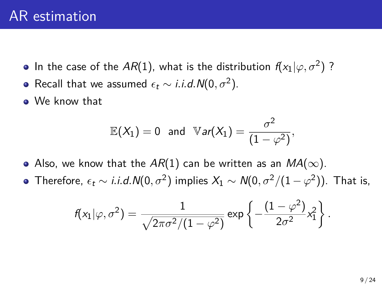- In the case of the  $AR(1)$ , what is the distribution  $f(x_1|\varphi, \sigma^2)$  ?
- Recall that we assumed  $\epsilon_t \sim i.i.d. N(0, \sigma^2)$ .
- We know that

$$
\mathbb{E}(X_1)=0 \text{ and } \mathbb{V}ar(X_1)=\frac{\sigma^2}{(1-\varphi^2)},
$$

- Also, we know that the  $AR(1)$  can be written as an  $MA(\infty)$ .
- Therefore,  $\epsilon_t \sim i.i.d. N(0, \sigma^2)$  implies  $X_1 \sim N(0, \sigma^2/(1-\varphi^2))$ . That is,

$$
f(x_1|\varphi,\sigma^2) = \frac{1}{\sqrt{2\pi\sigma^2/(1-\varphi^2)}}\exp\left\{-\frac{(1-\varphi^2)}{2\sigma^2}x_1^2\right\}.
$$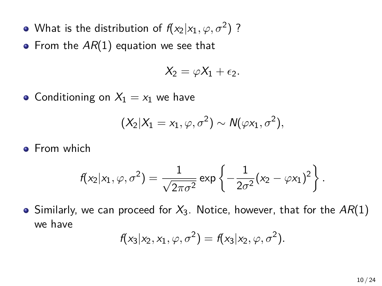- What is the distribution of  $f(x_2|x_1, \varphi, \sigma^2)$  ?
- From the AR(1) equation we see that

$$
X_2=\varphi X_1+\epsilon_2.
$$

• Conditioning on  $X_1 = x_1$  we have

$$
(X_2|X_1=x_1,\varphi,\sigma^2)\sim N(\varphi x_1,\sigma^2),
$$

**•** From which

$$
f(x_2|x_1,\varphi,\sigma^2) = \frac{1}{\sqrt{2\pi\sigma^2}} \exp\left\{-\frac{1}{2\sigma^2}(x_2-\varphi x_1)^2\right\}.
$$

 $\bullet$  Similarly, we can proceed for  $X_3$ . Notice, however, that for the  $AR(1)$ we have

$$
f(x_3|x_2,x_1,\varphi,\sigma^2)=f(x_3|x_2,\varphi,\sigma^2).
$$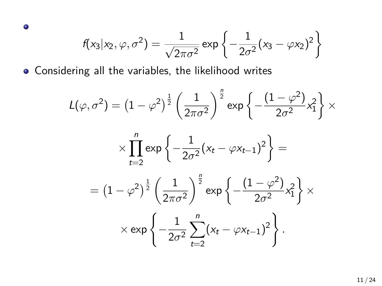$$
f(x_3|x_2,\varphi,\sigma^2) = \frac{1}{\sqrt{2\pi\sigma^2}} \exp\left\{-\frac{1}{2\sigma^2}(x_3-\varphi x_2)^2\right\}
$$

Considering all the variables, the likelihood writes

 $\bullet$ 

$$
L(\varphi, \sigma^2) = \left(1 - \varphi^2\right)^{\frac{1}{2}} \left(\frac{1}{2\pi\sigma^2}\right)^{\frac{n}{2}} \exp\left\{-\frac{\left(1 - \varphi^2\right)}{2\sigma^2}x_1^2\right\} \times
$$

$$
\times \prod_{t=2}^n \exp\left\{-\frac{1}{2\sigma^2}(x_t-\varphi x_{t-1})^2\right\} =
$$

$$
= (1 - \varphi^2)^{\frac{1}{2}} \left(\frac{1}{2\pi\sigma^2}\right)^{\frac{n}{2}} \exp\left\{-\frac{(1 - \varphi^2)}{2\sigma^2}x_1^2\right\} \times \\ \times \exp\left\{-\frac{1}{2\sigma^2}\sum_{t=2}^n (x_t - \varphi x_{t-1})^2\right\}.
$$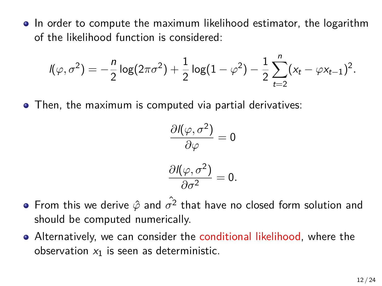In order to compute the maximum likelihood estimator, the logarithm of the likelihood function is considered:

$$
I(\varphi, \sigma^2) = -\frac{n}{2} \log(2\pi\sigma^2) + \frac{1}{2} \log(1-\varphi^2) - \frac{1}{2} \sum_{t=2}^n (x_t - \varphi x_{t-1})^2.
$$

Then, the maximum is computed via partial derivatives:

$$
\frac{\partial J(\varphi, \sigma^2)}{\partial \varphi} = 0
$$

$$
\frac{\partial I(\varphi,\sigma^2)}{\partial \sigma^2}=0.
$$

- From this we derive  $\hat{\varphi}$  and  $\hat{\sigma^2}$  that have no closed form solution and should be computed numerically.
- Alternatively, we can consider the conditional likelihood, where the observation *x*<sup>1</sup> is seen as deterministic.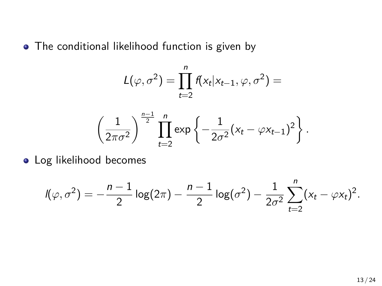• The conditional likelihood function is given by

$$
L(\varphi, \sigma^2) = \prod_{t=2}^n f(x_t | x_{t-1}, \varphi, \sigma^2) =
$$

$$
\left(\frac{1}{2\pi\sigma^2}\right)^{\frac{n-1}{2}} \prod_{t=2}^n \exp\left\{-\frac{1}{2\sigma^2}(x_t - \varphi x_{t-1})^2\right\}.
$$

**·** Log likelihood becomes

$$
I(\varphi,\sigma^2) = -\frac{n-1}{2}\log(2\pi) - \frac{n-1}{2}\log(\sigma^2) - \frac{1}{2\sigma^2}\sum_{t=2}^n(x_t - \varphi x_t)^2.
$$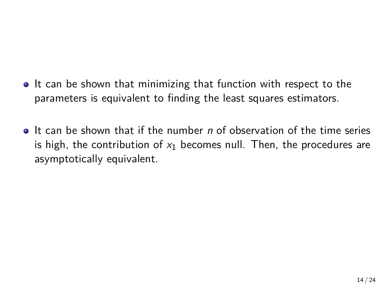- It can be shown that minimizing that function with respect to the parameters is equivalent to finding the least squares estimators.
- It can be shown that if the number *n* of observation of the time series is high, the contribution of *x*<sup>1</sup> becomes null. Then, the procedures are asymptotically equivalent.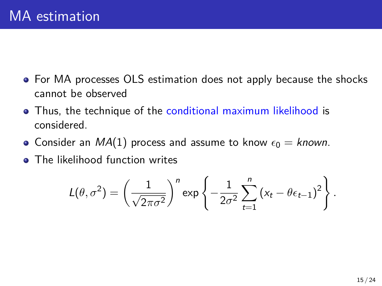- For MA processes OLS estimation does not apply because the shocks cannot be observed
- Thus, the technique of the conditional maximum likelihood is considered.
- Consider an  $MA(1)$  process and assume to know  $\epsilon_0 =$  known.
- The likelihood function writes

$$
L(\theta, \sigma^2) = \left(\frac{1}{\sqrt{2\pi\sigma^2}}\right)^n \exp\left\{-\frac{1}{2\sigma^2}\sum_{t=1}^n (x_t - \theta\epsilon_{t-1})^2\right\}.
$$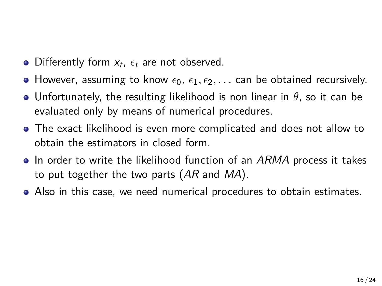- Differently form  $x_t$ ,  $\epsilon_t$  are not observed.
- However, assuming to know  $\epsilon_0$ ,  $\epsilon_1$ ,  $\epsilon_2$ ,... can be obtained recursively.
- Unfortunately, the resulting likelihood is non linear in *θ*, so it can be evaluated only by means of numerical procedures.
- The exact likelihood is even more complicated and does not allow to obtain the estimators in closed form.
- In order to write the likelihood function of an *ARMA* process it takes to put together the two parts (*AR* and *MA*).
- Also in this case, we need numerical procedures to obtain estimates.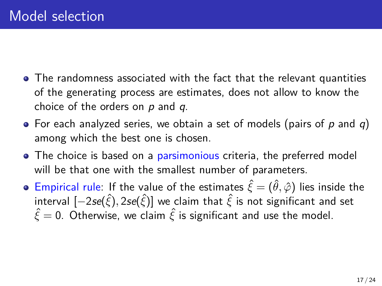- The randomness associated with the fact that the relevant quantities of the generating process are estimates, does not allow to know the choice of the orders on *p* and *q*.
- For each analyzed series, we obtain a set of models (pairs of *p* and *q*) among which the best one is chosen.
- The choice is based on a parsimonious criteria, the preferred model will be that one with the smallest number of parameters.
- **•** Empirical rule: If the value of the estimates  $\hat{\xi} = (\hat{\theta}, \hat{\varphi})$  lies inside the interval [*−*2*se*(*ξ*ˆ)*,* <sup>2</sup>*se*(*ξ*ˆ)] we claim that *<sup>ξ</sup>*<sup>ˆ</sup> is not significant and set  $\hat{\xi} = 0$ . Otherwise, we claim  $\hat{\xi}$  is significant and use the model.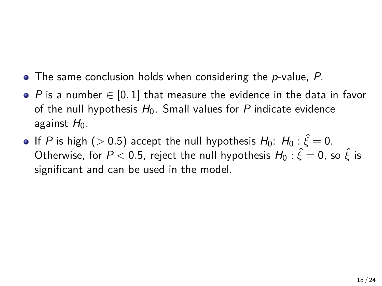- The same conclusion holds when considering the *p*-value, *P*.
- *P* is a number *∈* [0*,* 1] that measure the evidence in the data in favor of the null hypothesis  $H_0$ . Small values for P indicate evidence against  $H_0$ .
- **If** *P* is high ( $> 0.5$ ) accept the null hypothesis  $H_0$ :  $H_0$ :  $\hat{\xi} = 0$ .  $\textsf{Otherwise}, \text{ for } P < 0.5, \text{ reject the null hypothesis } \mathit{H}_0: \hat{\xi} = 0, \text{ so } \hat{\xi} \text{ is }$ significant and can be used in the model.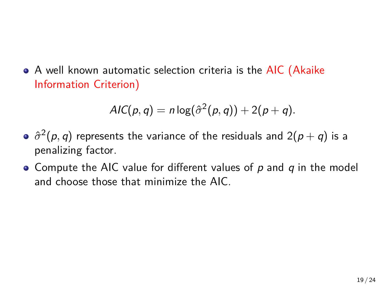• A well known automatic selection criteria is the AIC (Akaike Information Criterion)

$$
AIC(p,q) = n \log(\hat{\sigma}^2(p,q)) + 2(p+q).
$$

- $\hat{\sigma}^2(p,q)$  represents the variance of the residuals and  $2(p+q)$  is a penalizing factor.
- Compute the AIC value for different values of *p* and *q* in the model and choose those that minimize the AIC.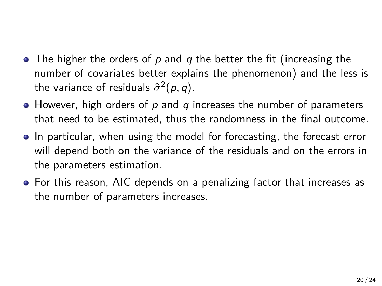- The higher the orders of *p* and *q* the better the fit (increasing the number of covariates better explains the phenomenon) and the less is the variance of residuals  $\hat{\sigma}^2(p,q)$ .
- However, high orders of *p* and *q* increases the number of parameters that need to be estimated, thus the randomness in the final outcome.
- In particular, when using the model for forecasting, the forecast error will depend both on the variance of the residuals and on the errors in the parameters estimation.
- For this reason, AIC depends on a penalizing factor that increases as the number of parameters increases.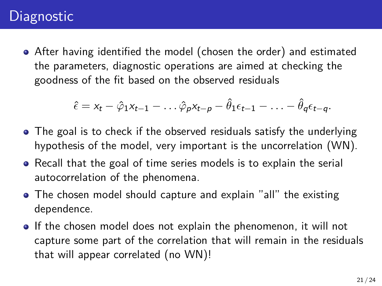## **Diagnostic**

After having identified the model (chosen the order) and estimated the parameters, diagnostic operations are aimed at checking the goodness of the fit based on the observed residuals

$$
\hat{\epsilon}=x_t-\hat{\varphi}_1x_{t-1}-\ldots\hat{\varphi}_px_{t-p}-\hat{\theta}_1\epsilon_{t-1}-\ldots-\hat{\theta}_q\epsilon_{t-q}.
$$

- The goal is to check if the observed residuals satisfy the underlying hypothesis of the model, very important is the uncorrelation (WN).
- Recall that the goal of time series models is to explain the serial autocorrelation of the phenomena.
- The chosen model should capture and explain "all" the existing dependence.
- If the chosen model does not explain the phenomenon, it will not capture some part of the correlation that will remain in the residuals that will appear correlated (no WN)!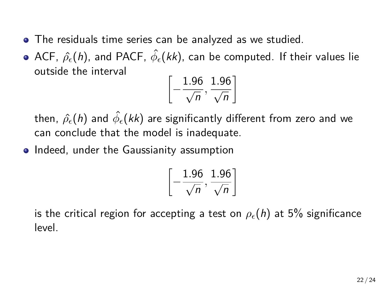- The residuals time series can be analyzed as we studied.
- ACF, *ρ*ˆ*ϵ*(*h*), and PACF, *ϕ*ˆ *<sup>ϵ</sup>*(*kk*), can be computed. If their values lie outside the interval

$$
\left[-\frac{1.96}{\sqrt{n}},\frac{1.96}{\sqrt{n}}\right]
$$

then, *ρ*ˆ*ϵ*(*h*) and *ϕ*ˆ *<sup>ϵ</sup>*(*kk*) are significantly different from zero and we can conclude that the model is inadequate.

• Indeed, under the Gaussianity assumption

$$
\left[-\frac{1.96}{\sqrt{n}}, \frac{1.96}{\sqrt{n}}\right]
$$

is the critical region for accepting a test on  $\rho_{\epsilon}(h)$  at 5% significance level.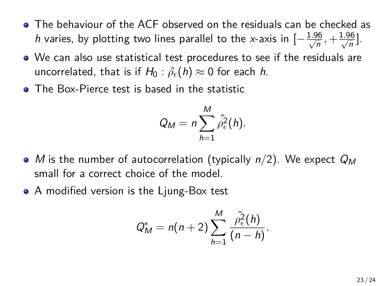- The behaviour of the ACF observed on the residuals can be checked as *h* varies, by plotting two lines parallel to the *x*-axis in  $[-\frac{1.96}{\sqrt{n}}, +\frac{1.96}{\sqrt{n}}]$ .
- We can also use statistical test procedures to see if the residuals are uncorrelated, that is if  $H_0: \hat{\rho}_{\epsilon}(h) \approx 0$  for each *h*.
- The Box-Pierce test is based in the statistic

$$
Q_M = n \sum_{h=1}^M \hat{\rho}_{\epsilon}^2(h).
$$

- *M* is the number of autocorrelation (typically *n/*2). We expect *Q<sup>M</sup>* small for a correct choice of the model.
- A modified version is the Ljung-Box test

$$
Q_M^* = n(n+2) \sum_{h=1}^M \frac{\hat{\rho}_{\epsilon}^2(h)}{(n-h)}.
$$